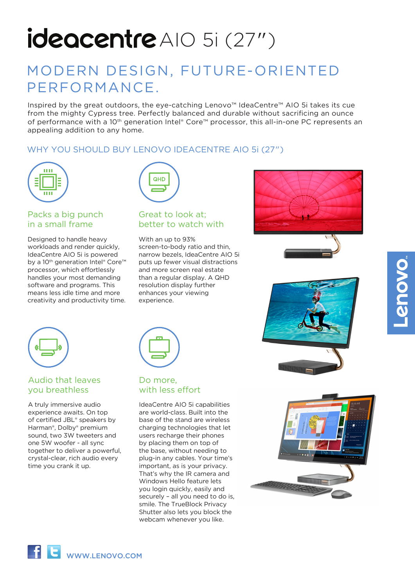# ideacentre AIO 5i (27")

# MODERN DESIGN, FUTURE-ORIENTED PERFORMANCE.

Inspired by the great outdoors, the eye-catching Lenovo™ IdeaCentre™ AIO 5i takes its cue from the mighty Cypress tree. Perfectly balanced and durable without sacrificing an ounce of performance with a 10th generation Intel® Core™ processor, this all-in-one PC represents an appealing addition to any home.

# WHY YOU SHOULD BUY LENOVO IDEACENTRE AIO 5i (27")



# Packs a big punch in a small frame

Designed to handle heavy workloads and render quickly. IdeaCentre AIO 5i is powered by a 10<sup>th</sup> generation Intel® Core™ processor, which effortlessly handles your most demanding software and programs. This means less idle time and more creativity and productivity time.



### Great to look at; better to watch with

With an up to 93% screen-to-body ratio and thin, narrow bezels, IdeaCentre AIO 5i puts up fewer visual distractions and more screen real estate than a regular display. A QHD resolution display further enhances your viewing experience.









# Audio that leaves you breathless

A truly immersive audio experience awaits. On top of certified JBL® speakers by Harman®, Dolby® premium sound, two 3W tweeters and one 5W woofer - all sync together to deliver a powerful, crystal-clear, rich audio every time you crank it up.



### Do more, with less effort

IdeaCentre AIO 5i capabilities are world-class. Built into the base of the stand are wireless charging technologies that let users recharge their phones by placing them on top of the base, without needing to plug-in any cables. Your time's important, as is your privacy. That's why the IR camera and Windows Hello feature lets you login quickly, easily and securely – all you need to do is, smile. The TrueBlock Privacy Shutter also lets you block the webcam whenever you like.